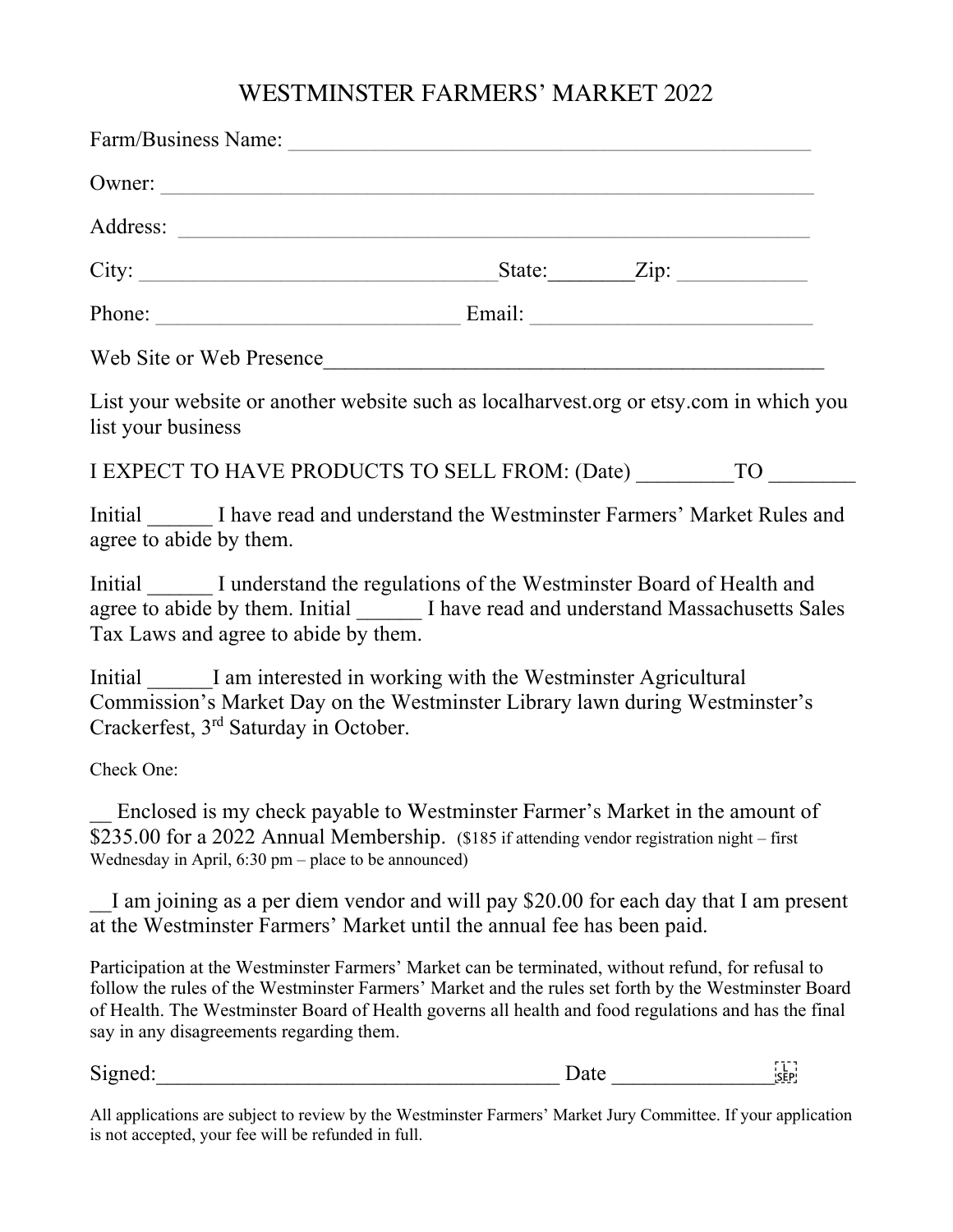## WESTMINSTER FARMERS' MARKET 2022

| Owner:                                                                                                                                                                                                                                                                                                                                                                                                                                                                                                                                                      |  |  |  |
|-------------------------------------------------------------------------------------------------------------------------------------------------------------------------------------------------------------------------------------------------------------------------------------------------------------------------------------------------------------------------------------------------------------------------------------------------------------------------------------------------------------------------------------------------------------|--|--|--|
|                                                                                                                                                                                                                                                                                                                                                                                                                                                                                                                                                             |  |  |  |
| City: $\begin{array}{c} \text{City:} \quad \text{Value:} \quad \text{Value:} \quad \text{Value:} \quad \text{Value:} \quad \text{Value:} \quad \text{Value:} \quad \text{Value:} \quad \text{Value:} \quad \text{Value:} \quad \text{Value:} \quad \text{Value:} \quad \text{Value:} \quad \text{Value:} \quad \text{Value:} \quad \text{Value:} \quad \text{Value:} \quad \text{Value:} \quad \text{Value:} \quad \text{Value:} \quad \text{Value:} \quad \text{Value:} \quad \text{Value:} \quad \text{Value:} \quad \text{Value:} \quad \text{Value:} \$ |  |  |  |
|                                                                                                                                                                                                                                                                                                                                                                                                                                                                                                                                                             |  |  |  |
| Web Site or Web Presence                                                                                                                                                                                                                                                                                                                                                                                                                                                                                                                                    |  |  |  |
| List your website or another website such as local harvest org or etsy com in which you<br>list your business                                                                                                                                                                                                                                                                                                                                                                                                                                               |  |  |  |
| I EXPECT TO HAVE PRODUCTS TO SELL FROM: (Date) TO                                                                                                                                                                                                                                                                                                                                                                                                                                                                                                           |  |  |  |
| Initial I have read and understand the Westminster Farmers' Market Rules and<br>agree to abide by them.                                                                                                                                                                                                                                                                                                                                                                                                                                                     |  |  |  |
| Initial I understand the regulations of the Westminster Board of Health and<br>agree to abide by them. Initial I have read and understand Massachusetts Sales<br>Tax Laws and agree to abide by them.                                                                                                                                                                                                                                                                                                                                                       |  |  |  |
| Initial I am interested in working with the Westminster Agricultural<br>Commission's Market Day on the Westminster Library lawn during Westminster's                                                                                                                                                                                                                                                                                                                                                                                                        |  |  |  |

Commission's Market Day on the Westminster Library lawn during Westminster's Crackerfest, 3rd Saturday in October.

Check One:

\_\_ Enclosed is my check payable to Westminster Farmer's Market in the amount of \$235.00 for a 2022 Annual Membership. (\$185 if attending vendor registration night – first Wednesday in April,  $6:30 \text{ pm} - \text{place to be announced}$ 

I am joining as a per diem vendor and will pay \$20.00 for each day that I am present at the Westminster Farmers' Market until the annual fee has been paid.

Participation at the Westminster Farmers' Market can be terminated, without refund, for refusal to follow the rules of the Westminster Farmers' Market and the rules set forth by the Westminster Board of Health. The Westminster Board of Health governs all health and food regulations and has the final say in any disagreements regarding them.

Signed: Signed:  $\frac{1}{1}$ 

All applications are subject to review by the Westminster Farmers' Market Jury Committee. If your application is not accepted, your fee will be refunded in full.